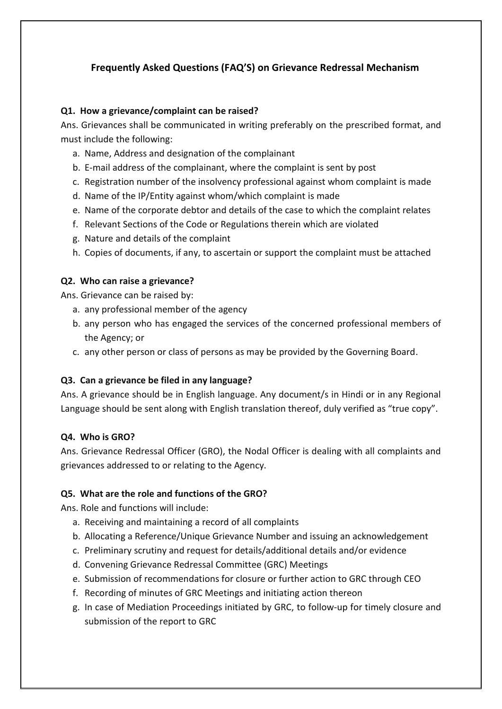# **Frequently Asked Questions (FAQ'S) on Grievance Redressal Mechanism**

#### **Q1. How a grievance/complaint can be raised?**

Ans. Grievances shall be communicated in writing preferably on the prescribed format, and must include the following:

- a. Name, Address and designation of the complainant
- b. E-mail address of the complainant, where the complaint is sent by post
- c. Registration number of the insolvency professional against whom complaint is made
- d. Name of the IP/Entity against whom/which complaint is made
- e. Name of the corporate debtor and details of the case to which the complaint relates
- f. Relevant Sections of the Code or Regulations therein which are violated
- g. Nature and details of the complaint
- h. Copies of documents, if any, to ascertain or support the complaint must be attached

#### **Q2. Who can raise a grievance?**

Ans. Grievance can be raised by:

- a. any professional member of the agency
- b. any person who has engaged the services of the concerned professional members of the Agency; or
- c. any other person or class of persons as may be provided by the Governing Board.

#### **Q3. Can a grievance be filed in any language?**

Ans. A grievance should be in English language. Any document/s in Hindi or in any Regional Language should be sent along with English translation thereof, duly verified as "true copy".

#### **Q4. Who is GRO?**

Ans. Grievance Redressal Officer (GRO), the Nodal Officer is dealing with all complaints and grievances addressed to or relating to the Agency.

### **Q5. What are the role and functions of the GRO?**

Ans. Role and functions will include:

- a. Receiving and maintaining a record of all complaints
- b. Allocating a Reference/Unique Grievance Number and issuing an acknowledgement
- c. Preliminary scrutiny and request for details/additional details and/or evidence
- d. Convening Grievance Redressal Committee (GRC) Meetings
- e. Submission of recommendations for closure or further action to GRC through CEO
- f. Recording of minutes of GRC Meetings and initiating action thereon
- g. In case of Mediation Proceedings initiated by GRC, to follow-up for timely closure and submission of the report to GRC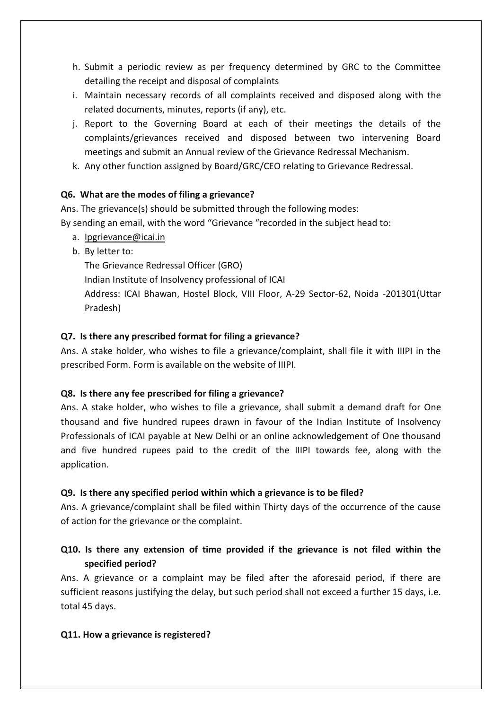- h. Submit a periodic review as per frequency determined by GRC to the Committee detailing the receipt and disposal of complaints
- i. Maintain necessary records of all complaints received and disposed along with the related documents, minutes, reports (if any), etc.
- j. Report to the Governing Board at each of their meetings the details of the complaints/grievances received and disposed between two intervening Board meetings and submit an Annual review of the Grievance Redressal Mechanism.
- k. Any other function assigned by Board/GRC/CEO relating to Grievance Redressal.

### **Q6. What are the modes of filing a grievance?**

Ans. The grievance(s) should be submitted through the following modes: By sending an email, with the word "Grievance "recorded in the subject head to:

- a. [Ipgrievance@icai.in](mailto:Ipgrievance@icai.in)
- b. By letter to:

The Grievance Redressal Officer (GRO)

Indian Institute of Insolvency professional of ICAI

Address: ICAI Bhawan, Hostel Block, VIII Floor, A-29 Sector-62, Noida -201301(Uttar Pradesh)

#### **Q7. Is there any prescribed format for filing a grievance?**

Ans. A stake holder, who wishes to file a grievance/complaint, shall file it with IIIPI in the prescribed Form. Form is available on the website of IIIPI.

### **Q8. Is there any fee prescribed for filing a grievance?**

Ans. A stake holder, who wishes to file a grievance, shall submit a demand draft for One thousand and five hundred rupees drawn in favour of the Indian Institute of Insolvency Professionals of ICAI payable at New Delhi or an online acknowledgement of One thousand and five hundred rupees paid to the credit of the IIIPI towards fee, along with the application.

### **Q9. Is there any specified period within which a grievance is to be filed?**

Ans. A grievance/complaint shall be filed within Thirty days of the occurrence of the cause of action for the grievance or the complaint.

# **Q10. Is there any extension of time provided if the grievance is not filed within the specified period?**

Ans. A grievance or a complaint may be filed after the aforesaid period, if there are sufficient reasons justifying the delay, but such period shall not exceed a further 15 days, i.e. total 45 days.

#### **Q11. How a grievance is registered?**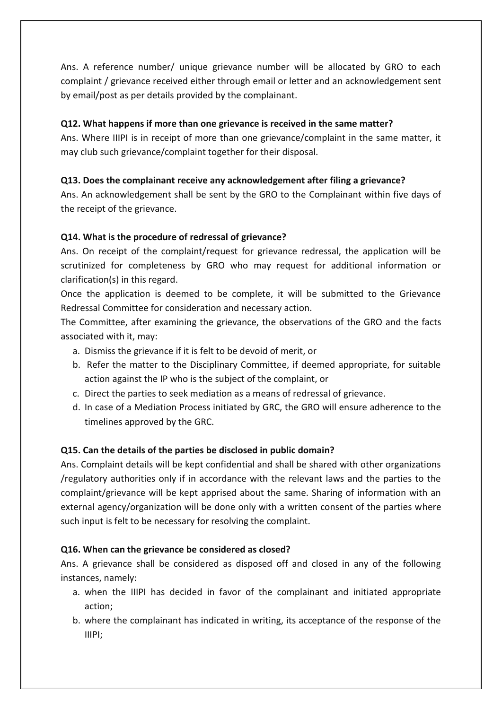Ans. A reference number/ unique grievance number will be allocated by GRO to each complaint / grievance received either through email or letter and an acknowledgement sent by email/post as per details provided by the complainant.

## **Q12. What happens if more than one grievance is received in the same matter?**

Ans. Where IIIPI is in receipt of more than one grievance/complaint in the same matter, it may club such grievance/complaint together for their disposal.

## **Q13. Does the complainant receive any acknowledgement after filing a grievance?**

Ans. An acknowledgement shall be sent by the GRO to the Complainant within five days of the receipt of the grievance.

## **Q14. What is the procedure of redressal of grievance?**

Ans. On receipt of the complaint/request for grievance redressal, the application will be scrutinized for completeness by GRO who may request for additional information or clarification(s) in this regard.

Once the application is deemed to be complete, it will be submitted to the Grievance Redressal Committee for consideration and necessary action.

The Committee, after examining the grievance, the observations of the GRO and the facts associated with it, may:

- a. Dismiss the grievance if it is felt to be devoid of merit, or
- b. Refer the matter to the Disciplinary Committee, if deemed appropriate, for suitable action against the IP who is the subject of the complaint, or
- c. Direct the parties to seek mediation as a means of redressal of grievance.
- d. In case of a Mediation Process initiated by GRC, the GRO will ensure adherence to the timelines approved by the GRC.

# **Q15. Can the details of the parties be disclosed in public domain?**

Ans. Complaint details will be kept confidential and shall be shared with other organizations /regulatory authorities only if in accordance with the relevant laws and the parties to the complaint/grievance will be kept apprised about the same. Sharing of information with an external agency/organization will be done only with a written consent of the parties where such input is felt to be necessary for resolving the complaint.

### **Q16. When can the grievance be considered as closed?**

Ans. A grievance shall be considered as disposed off and closed in any of the following instances, namely:

- a. when the IIIPI has decided in favor of the complainant and initiated appropriate action;
- b. where the complainant has indicated in writing, its acceptance of the response of the IIIPI;